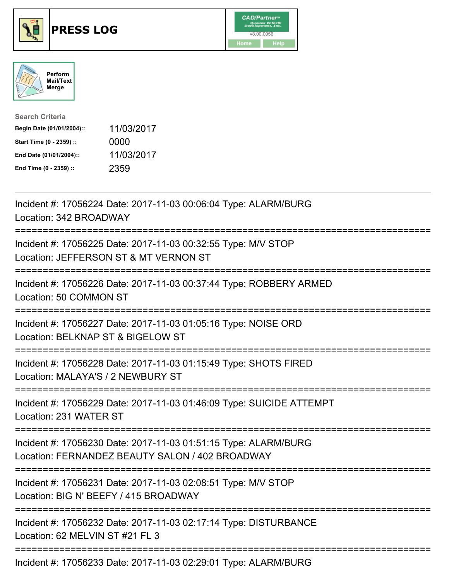





| <b>Search Criteria</b>    |            |
|---------------------------|------------|
| Begin Date (01/01/2004):: | 11/03/2017 |
| Start Time (0 - 2359) ::  | 0000       |
| End Date (01/01/2004)::   | 11/03/2017 |
| End Time (0 - 2359) ::    | 2359       |

| Incident #: 17056224 Date: 2017-11-03 00:06:04 Type: ALARM/BURG<br>Location: 342 BROADWAY                                               |
|-----------------------------------------------------------------------------------------------------------------------------------------|
| Incident #: 17056225 Date: 2017-11-03 00:32:55 Type: M/V STOP<br>Location: JEFFERSON ST & MT VERNON ST                                  |
| Incident #: 17056226 Date: 2017-11-03 00:37:44 Type: ROBBERY ARMED<br>Location: 50 COMMON ST                                            |
| Incident #: 17056227 Date: 2017-11-03 01:05:16 Type: NOISE ORD<br>Location: BELKNAP ST & BIGELOW ST                                     |
| Incident #: 17056228 Date: 2017-11-03 01:15:49 Type: SHOTS FIRED<br>Location: MALAYA'S / 2 NEWBURY ST<br>----------                     |
| Incident #: 17056229 Date: 2017-11-03 01:46:09 Type: SUICIDE ATTEMPT<br>Location: 231 WATER ST                                          |
| Incident #: 17056230 Date: 2017-11-03 01:51:15 Type: ALARM/BURG<br>Location: FERNANDEZ BEAUTY SALON / 402 BROADWAY                      |
| Incident #: 17056231 Date: 2017-11-03 02:08:51 Type: M/V STOP<br>Location: BIG N' BEEFY / 415 BROADWAY<br>============================= |
| Incident #: 17056232 Date: 2017-11-03 02:17:14 Type: DISTURBANCE<br>Location: 62 MELVIN ST #21 FL 3                                     |
| Incident #: 17056233 Date: 2017-11-03 02:29:01 Type: ALARM/BURG                                                                         |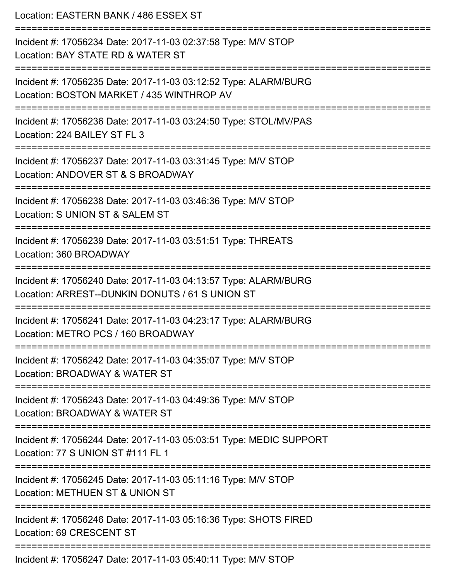Location: EASTERN BANK / 486 ESSEX ST =========================================================================== Incident #: 17056234 Date: 2017-11-03 02:37:58 Type: M/V STOP Location: BAY STATE RD & WATER ST =========================================================================== Incident #: 17056235 Date: 2017-11-03 03:12:52 Type: ALARM/BURG Location: BOSTON MARKET / 435 WINTHROP AV =========================================================================== Incident #: 17056236 Date: 2017-11-03 03:24:50 Type: STOL/MV/PAS Location: 224 BAILEY ST FL 3 =========================================================================== Incident #: 17056237 Date: 2017-11-03 03:31:45 Type: M/V STOP Location: ANDOVER ST & S BROADWAY =========================================================================== Incident #: 17056238 Date: 2017-11-03 03:46:36 Type: M/V STOP Location: S UNION ST & SALEM ST =========================================================================== Incident #: 17056239 Date: 2017-11-03 03:51:51 Type: THREATS Location: 360 BROADWAY =========================================================================== Incident #: 17056240 Date: 2017-11-03 04:13:57 Type: ALARM/BURG Location: ARREST--DUNKIN DONUTS / 61 S UNION ST =========================================================================== Incident #: 17056241 Date: 2017-11-03 04:23:17 Type: ALARM/BURG Location: METRO PCS / 160 BROADWAY =========================================================================== Incident #: 17056242 Date: 2017-11-03 04:35:07 Type: M/V STOP Location: BROADWAY & WATER ST =========================================================================== Incident #: 17056243 Date: 2017-11-03 04:49:36 Type: M/V STOP Location: BROADWAY & WATER ST =========================================================================== Incident #: 17056244 Date: 2017-11-03 05:03:51 Type: MEDIC SUPPORT Location: 77 S UNION ST #111 FL 1 =========================================================================== Incident #: 17056245 Date: 2017-11-03 05:11:16 Type: M/V STOP Location: METHUEN ST & UNION ST =========================================================================== Incident #: 17056246 Date: 2017-11-03 05:16:36 Type: SHOTS FIRED Location: 69 CRESCENT ST =========================================================================== Incident #: 17056247 Date: 2017-11-03 05:40:11 Type: M/V STOP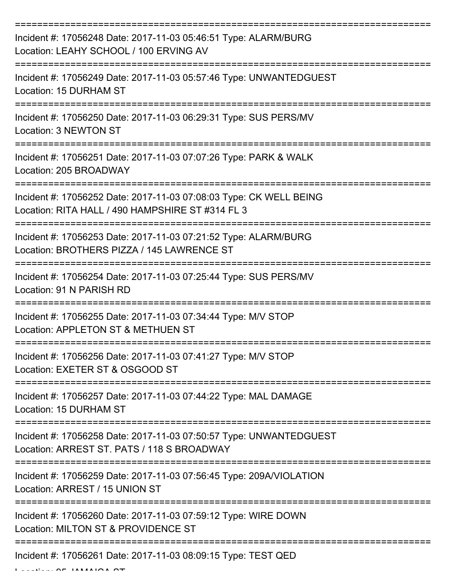| Incident #: 17056248 Date: 2017-11-03 05:46:51 Type: ALARM/BURG<br>Location: LEAHY SCHOOL / 100 ERVING AV              |
|------------------------------------------------------------------------------------------------------------------------|
| Incident #: 17056249 Date: 2017-11-03 05:57:46 Type: UNWANTEDGUEST<br>Location: 15 DURHAM ST                           |
| Incident #: 17056250 Date: 2017-11-03 06:29:31 Type: SUS PERS/MV<br>Location: 3 NEWTON ST                              |
| Incident #: 17056251 Date: 2017-11-03 07:07:26 Type: PARK & WALK<br>Location: 205 BROADWAY                             |
| Incident #: 17056252 Date: 2017-11-03 07:08:03 Type: CK WELL BEING<br>Location: RITA HALL / 490 HAMPSHIRE ST #314 FL 3 |
| Incident #: 17056253 Date: 2017-11-03 07:21:52 Type: ALARM/BURG<br>Location: BROTHERS PIZZA / 145 LAWRENCE ST          |
| Incident #: 17056254 Date: 2017-11-03 07:25:44 Type: SUS PERS/MV<br>Location: 91 N PARISH RD                           |
| Incident #: 17056255 Date: 2017-11-03 07:34:44 Type: M/V STOP<br>Location: APPLETON ST & METHUEN ST                    |
| Incident #: 17056256 Date: 2017-11-03 07:41:27 Type: M/V STOP<br>Location: EXETER ST & OSGOOD ST                       |
| Incident #: 17056257 Date: 2017-11-03 07:44:22 Type: MAL DAMAGE<br>Location: 15 DURHAM ST                              |
| Incident #: 17056258 Date: 2017-11-03 07:50:57 Type: UNWANTEDGUEST<br>Location: ARREST ST. PATS / 118 S BROADWAY       |
| Incident #: 17056259 Date: 2017-11-03 07:56:45 Type: 209A/VIOLATION<br>Location: ARREST / 15 UNION ST                  |
| Incident #: 17056260 Date: 2017-11-03 07:59:12 Type: WIRE DOWN<br>Location: MILTON ST & PROVIDENCE ST                  |
| Incident #: 17056261 Date: 2017-11-03 08:09:15 Type: TEST QED                                                          |

Location: 95 JAMAICA ST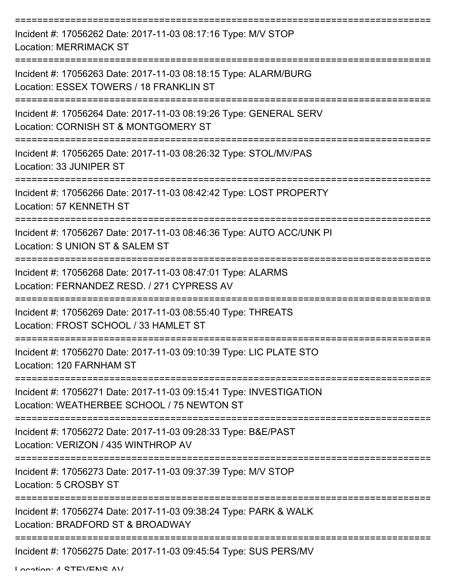| Incident #: 17056262 Date: 2017-11-03 08:17:16 Type: M/V STOP<br><b>Location: MERRIMACK ST</b>                   |
|------------------------------------------------------------------------------------------------------------------|
| Incident #: 17056263 Date: 2017-11-03 08:18:15 Type: ALARM/BURG<br>Location: ESSEX TOWERS / 18 FRANKLIN ST       |
| Incident #: 17056264 Date: 2017-11-03 08:19:26 Type: GENERAL SERV<br>Location: CORNISH ST & MONTGOMERY ST        |
| Incident #: 17056265 Date: 2017-11-03 08:26:32 Type: STOL/MV/PAS<br>Location: 33 JUNIPER ST                      |
| Incident #: 17056266 Date: 2017-11-03 08:42:42 Type: LOST PROPERTY<br>Location: 57 KENNETH ST                    |
| Incident #: 17056267 Date: 2017-11-03 08:46:36 Type: AUTO ACC/UNK PI<br>Location: S UNION ST & SALEM ST          |
| Incident #: 17056268 Date: 2017-11-03 08:47:01 Type: ALARMS<br>Location: FERNANDEZ RESD. / 271 CYPRESS AV        |
| Incident #: 17056269 Date: 2017-11-03 08:55:40 Type: THREATS<br>Location: FROST SCHOOL / 33 HAMLET ST            |
| Incident #: 17056270 Date: 2017-11-03 09:10:39 Type: LIC PLATE STO<br>Location: 120 FARNHAM ST                   |
| Incident #: 17056271 Date: 2017-11-03 09:15:41 Type: INVESTIGATION<br>Location: WEATHERBEE SCHOOL / 75 NEWTON ST |
| Incident #: 17056272 Date: 2017-11-03 09:28:33 Type: B&E/PAST<br>Location: VERIZON / 435 WINTHROP AV             |
| Incident #: 17056273 Date: 2017-11-03 09:37:39 Type: M/V STOP<br>Location: 5 CROSBY ST                           |
| Incident #: 17056274 Date: 2017-11-03 09:38:24 Type: PARK & WALK<br>Location: BRADFORD ST & BROADWAY             |
| Incident #: 17056275 Date: 2017-11-03 09:45:54 Type: SUS PERS/MV                                                 |

Location: A STEVENIS AV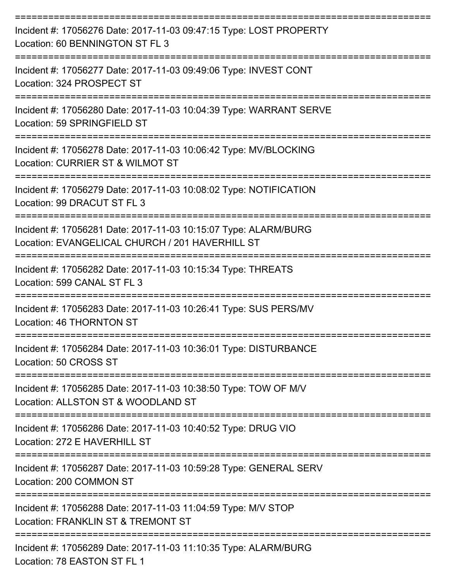| Incident #: 17056276 Date: 2017-11-03 09:47:15 Type: LOST PROPERTY<br>Location: 60 BENNINGTON ST FL 3                      |
|----------------------------------------------------------------------------------------------------------------------------|
| Incident #: 17056277 Date: 2017-11-03 09:49:06 Type: INVEST CONT<br>Location: 324 PROSPECT ST                              |
| Incident #: 17056280 Date: 2017-11-03 10:04:39 Type: WARRANT SERVE<br>Location: 59 SPRINGFIELD ST                          |
| Incident #: 17056278 Date: 2017-11-03 10:06:42 Type: MV/BLOCKING<br>Location: CURRIER ST & WILMOT ST                       |
| Incident #: 17056279 Date: 2017-11-03 10:08:02 Type: NOTIFICATION<br>Location: 99 DRACUT ST FL 3                           |
| Incident #: 17056281 Date: 2017-11-03 10:15:07 Type: ALARM/BURG<br>Location: EVANGELICAL CHURCH / 201 HAVERHILL ST         |
| Incident #: 17056282 Date: 2017-11-03 10:15:34 Type: THREATS<br>Location: 599 CANAL ST FL 3                                |
| Incident #: 17056283 Date: 2017-11-03 10:26:41 Type: SUS PERS/MV<br>Location: 46 THORNTON ST                               |
| Incident #: 17056284 Date: 2017-11-03 10:36:01 Type: DISTURBANCE<br>Location: 50 CROSS ST                                  |
| =================<br>Incident #: 17056285 Date: 2017-11-03 10:38:50 Type: TOW OF M/V<br>Location: ALLSTON ST & WOODLAND ST |
| Incident #: 17056286 Date: 2017-11-03 10:40:52 Type: DRUG VIO<br>Location: 272 E HAVERHILL ST                              |
| Incident #: 17056287 Date: 2017-11-03 10:59:28 Type: GENERAL SERV<br>Location: 200 COMMON ST                               |
| Incident #: 17056288 Date: 2017-11-03 11:04:59 Type: M/V STOP<br>Location: FRANKLIN ST & TREMONT ST                        |
| Incident #: 17056289 Date: 2017-11-03 11:10:35 Type: ALARM/BURG<br>Location: 78 EASTON ST FL 1                             |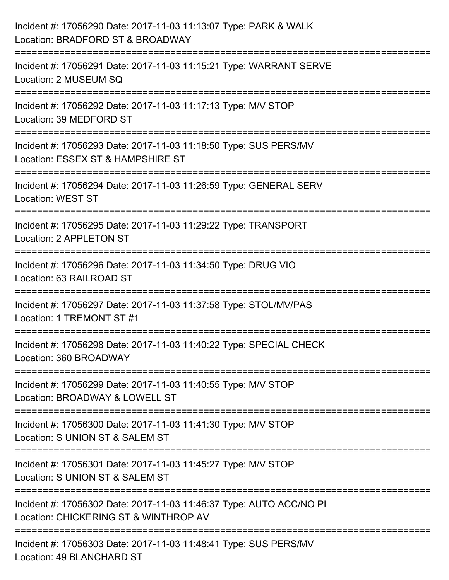| Incident #: 17056290 Date: 2017-11-03 11:13:07 Type: PARK & WALK<br>Location: BRADFORD ST & BROADWAY                                 |
|--------------------------------------------------------------------------------------------------------------------------------------|
| Incident #: 17056291 Date: 2017-11-03 11:15:21 Type: WARRANT SERVE<br>Location: 2 MUSEUM SQ                                          |
| Incident #: 17056292 Date: 2017-11-03 11:17:13 Type: M/V STOP<br>Location: 39 MEDFORD ST                                             |
| Incident #: 17056293 Date: 2017-11-03 11:18:50 Type: SUS PERS/MV<br>Location: ESSEX ST & HAMPSHIRE ST                                |
| Incident #: 17056294 Date: 2017-11-03 11:26:59 Type: GENERAL SERV<br><b>Location: WEST ST</b>                                        |
| Incident #: 17056295 Date: 2017-11-03 11:29:22 Type: TRANSPORT<br>Location: 2 APPLETON ST                                            |
| Incident #: 17056296 Date: 2017-11-03 11:34:50 Type: DRUG VIO<br>Location: 63 RAILROAD ST                                            |
| Incident #: 17056297 Date: 2017-11-03 11:37:58 Type: STOL/MV/PAS<br>Location: 1 TREMONT ST #1                                        |
| Incident #: 17056298 Date: 2017-11-03 11:40:22 Type: SPECIAL CHECK<br>Location: 360 BROADWAY                                         |
| Incident #: 17056299 Date: 2017-11-03 11:40:55 Type: M/V STOP<br>Location: BROADWAY & LOWELL ST<br>================================= |
| Incident #: 17056300 Date: 2017-11-03 11:41:30 Type: M/V STOP<br>Location: S UNION ST & SALEM ST                                     |
| Incident #: 17056301 Date: 2017-11-03 11:45:27 Type: M/V STOP<br>Location: S UNION ST & SALEM ST                                     |
| Incident #: 17056302 Date: 2017-11-03 11:46:37 Type: AUTO ACC/NO PI<br>Location: CHICKERING ST & WINTHROP AV                         |
| Incident #: 17056303 Date: 2017-11-03 11:48:41 Type: SUS PERS/MV<br>Location: 49 BLANCHARD ST                                        |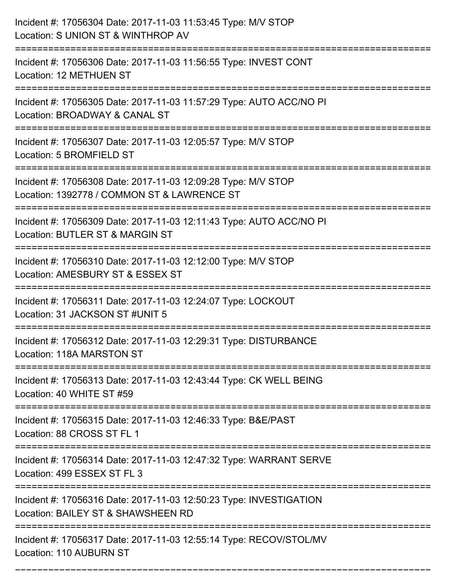| Incident #: 17056304 Date: 2017-11-03 11:53:45 Type: M/V STOP<br>Location: S UNION ST & WINTHROP AV                                    |
|----------------------------------------------------------------------------------------------------------------------------------------|
| Incident #: 17056306 Date: 2017-11-03 11:56:55 Type: INVEST CONT<br>Location: 12 METHUEN ST                                            |
| Incident #: 17056305 Date: 2017-11-03 11:57:29 Type: AUTO ACC/NO PI<br>Location: BROADWAY & CANAL ST<br>:============================= |
| Incident #: 17056307 Date: 2017-11-03 12:05:57 Type: M/V STOP<br>Location: 5 BROMFIELD ST                                              |
| Incident #: 17056308 Date: 2017-11-03 12:09:28 Type: M/V STOP<br>Location: 1392778 / COMMON ST & LAWRENCE ST                           |
| Incident #: 17056309 Date: 2017-11-03 12:11:43 Type: AUTO ACC/NO PI<br>Location: BUTLER ST & MARGIN ST                                 |
| Incident #: 17056310 Date: 2017-11-03 12:12:00 Type: M/V STOP<br>Location: AMESBURY ST & ESSEX ST                                      |
| Incident #: 17056311 Date: 2017-11-03 12:24:07 Type: LOCKOUT<br>Location: 31 JACKSON ST #UNIT 5                                        |
| Incident #: 17056312 Date: 2017-11-03 12:29:31 Type: DISTURBANCE<br>Location: 118A MARSTON ST                                          |
| Incident #: 17056313 Date: 2017-11-03 12:43:44 Type: CK WELL BEING<br>Location: 40 WHITE ST #59                                        |
| Incident #: 17056315 Date: 2017-11-03 12:46:33 Type: B&E/PAST<br>Location: 88 CROSS ST FL 1                                            |
| Incident #: 17056314 Date: 2017-11-03 12:47:32 Type: WARRANT SERVE<br>Location: 499 ESSEX ST FL 3                                      |
| Incident #: 17056316 Date: 2017-11-03 12:50:23 Type: INVESTIGATION<br>Location: BAILEY ST & SHAWSHEEN RD                               |
| Incident #: 17056317 Date: 2017-11-03 12:55:14 Type: RECOV/STOL/MV<br>Location: 110 AUBURN ST                                          |

===========================================================================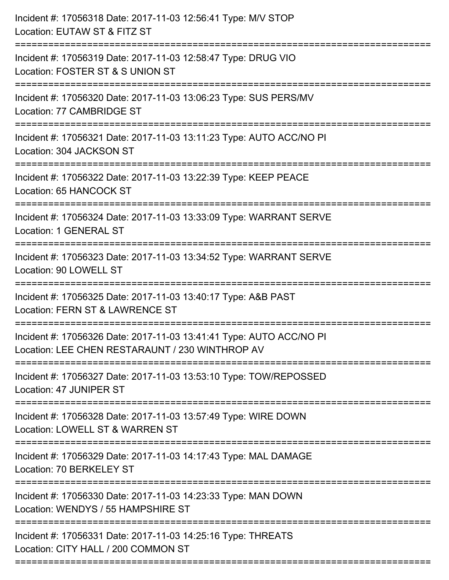| Incident #: 17056318 Date: 2017-11-03 12:56:41 Type: M/V STOP<br>Location: EUTAW ST & FITZ ST<br>========================= |
|----------------------------------------------------------------------------------------------------------------------------|
| Incident #: 17056319 Date: 2017-11-03 12:58:47 Type: DRUG VIO<br>Location: FOSTER ST & S UNION ST                          |
| Incident #: 17056320 Date: 2017-11-03 13:06:23 Type: SUS PERS/MV<br>Location: 77 CAMBRIDGE ST                              |
| Incident #: 17056321 Date: 2017-11-03 13:11:23 Type: AUTO ACC/NO PI<br>Location: 304 JACKSON ST                            |
| Incident #: 17056322 Date: 2017-11-03 13:22:39 Type: KEEP PEACE<br>Location: 65 HANCOCK ST                                 |
| Incident #: 17056324 Date: 2017-11-03 13:33:09 Type: WARRANT SERVE<br>Location: 1 GENERAL ST                               |
| Incident #: 17056323 Date: 2017-11-03 13:34:52 Type: WARRANT SERVE<br>Location: 90 LOWELL ST                               |
| Incident #: 17056325 Date: 2017-11-03 13:40:17 Type: A&B PAST<br>Location: FERN ST & LAWRENCE ST                           |
| Incident #: 17056326 Date: 2017-11-03 13:41:41 Type: AUTO ACC/NO PI<br>Location: LEE CHEN RESTARAUNT / 230 WINTHROP AV     |
| Incident #: 17056327 Date: 2017-11-03 13:53:10 Type: TOW/REPOSSED<br>Location: 47 JUNIPER ST                               |
| Incident #: 17056328 Date: 2017-11-03 13:57:49 Type: WIRE DOWN<br>Location: LOWELL ST & WARREN ST                          |
| Incident #: 17056329 Date: 2017-11-03 14:17:43 Type: MAL DAMAGE<br>Location: 70 BERKELEY ST                                |
| Incident #: 17056330 Date: 2017-11-03 14:23:33 Type: MAN DOWN<br>Location: WENDYS / 55 HAMPSHIRE ST                        |
| Incident #: 17056331 Date: 2017-11-03 14:25:16 Type: THREATS<br>Location: CITY HALL / 200 COMMON ST                        |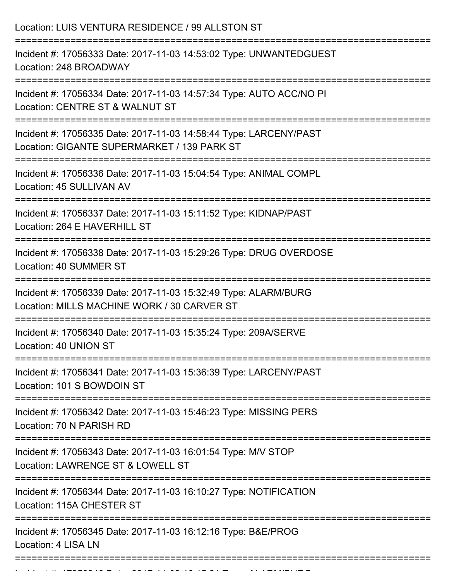| Location: LUIS VENTURA RESIDENCE / 99 ALLSTON ST                                                                                     |
|--------------------------------------------------------------------------------------------------------------------------------------|
| Incident #: 17056333 Date: 2017-11-03 14:53:02 Type: UNWANTEDGUEST<br>Location: 248 BROADWAY<br>==================================== |
| Incident #: 17056334 Date: 2017-11-03 14:57:34 Type: AUTO ACC/NO PI<br>Location: CENTRE ST & WALNUT ST                               |
| Incident #: 17056335 Date: 2017-11-03 14:58:44 Type: LARCENY/PAST<br>Location: GIGANTE SUPERMARKET / 139 PARK ST                     |
| Incident #: 17056336 Date: 2017-11-03 15:04:54 Type: ANIMAL COMPL<br>Location: 45 SULLIVAN AV                                        |
| Incident #: 17056337 Date: 2017-11-03 15:11:52 Type: KIDNAP/PAST<br>Location: 264 E HAVERHILL ST                                     |
| Incident #: 17056338 Date: 2017-11-03 15:29:26 Type: DRUG OVERDOSE<br>Location: 40 SUMMER ST                                         |
| Incident #: 17056339 Date: 2017-11-03 15:32:49 Type: ALARM/BURG<br>Location: MILLS MACHINE WORK / 30 CARVER ST                       |
| Incident #: 17056340 Date: 2017-11-03 15:35:24 Type: 209A/SERVE<br>Location: 40 UNION ST                                             |
| Incident #: 17056341 Date: 2017-11-03 15:36:39 Type: LARCENY/PAST<br>Location: 101 S BOWDOIN ST                                      |
| Incident #: 17056342 Date: 2017-11-03 15:46:23 Type: MISSING PERS<br>Location: 70 N PARISH RD                                        |
| Incident #: 17056343 Date: 2017-11-03 16:01:54 Type: M/V STOP<br>Location: LAWRENCE ST & LOWELL ST                                   |
| Incident #: 17056344 Date: 2017-11-03 16:10:27 Type: NOTIFICATION<br>Location: 115A CHESTER ST                                       |
| Incident #: 17056345 Date: 2017-11-03 16:12:16 Type: B&E/PROG<br>Location: 4 LISA LN                                                 |

Incident #: 17056346 Date: 2017 11 03 16:15:21 Type: 2017 11 03 16:15:21 Type: 2017 12:21 Type: 2017 12:21 Typ<br>.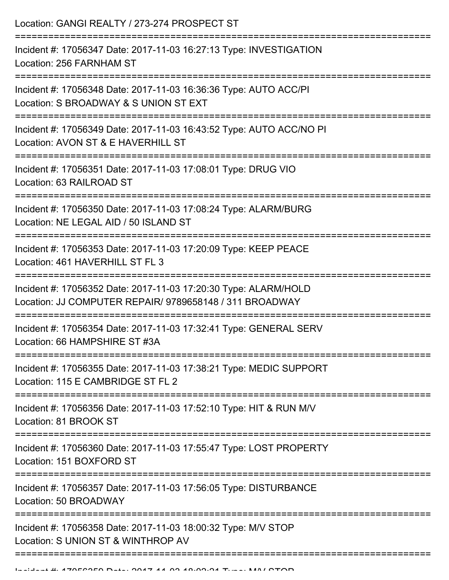| Location: GANGI REALTY / 273-274 PROSPECT ST                                                                                                |
|---------------------------------------------------------------------------------------------------------------------------------------------|
| Incident #: 17056347 Date: 2017-11-03 16:27:13 Type: INVESTIGATION<br>Location: 256 FARNHAM ST<br>================                          |
| Incident #: 17056348 Date: 2017-11-03 16:36:36 Type: AUTO ACC/PI<br>Location: S BROADWAY & S UNION ST EXT                                   |
| Incident #: 17056349 Date: 2017-11-03 16:43:52 Type: AUTO ACC/NO PI<br>Location: AVON ST & E HAVERHILL ST                                   |
| Incident #: 17056351 Date: 2017-11-03 17:08:01 Type: DRUG VIO<br>Location: 63 RAILROAD ST                                                   |
| Incident #: 17056350 Date: 2017-11-03 17:08:24 Type: ALARM/BURG<br>Location: NE LEGAL AID / 50 ISLAND ST<br>;============================== |
| Incident #: 17056353 Date: 2017-11-03 17:20:09 Type: KEEP PEACE<br>Location: 461 HAVERHILL ST FL 3                                          |
| Incident #: 17056352 Date: 2017-11-03 17:20:30 Type: ALARM/HOLD<br>Location: JJ COMPUTER REPAIR/ 9789658148 / 311 BROADWAY                  |
| Incident #: 17056354 Date: 2017-11-03 17:32:41 Type: GENERAL SERV<br>Location: 66 HAMPSHIRE ST #3A                                          |
| Incident #: 17056355 Date: 2017-11-03 17:38:21 Type: MEDIC SUPPORT<br>Location: 115 E CAMBRIDGE ST FL 2                                     |
| Incident #: 17056356 Date: 2017-11-03 17:52:10 Type: HIT & RUN M/V<br>Location: 81 BROOK ST                                                 |
| Incident #: 17056360 Date: 2017-11-03 17:55:47 Type: LOST PROPERTY<br>Location: 151 BOXFORD ST                                              |
| Incident #: 17056357 Date: 2017-11-03 17:56:05 Type: DISTURBANCE<br>Location: 50 BROADWAY                                                   |
| Incident #: 17056358 Date: 2017-11-03 18:00:32 Type: M/V STOP<br>Location: S UNION ST & WINTHROP AV                                         |
|                                                                                                                                             |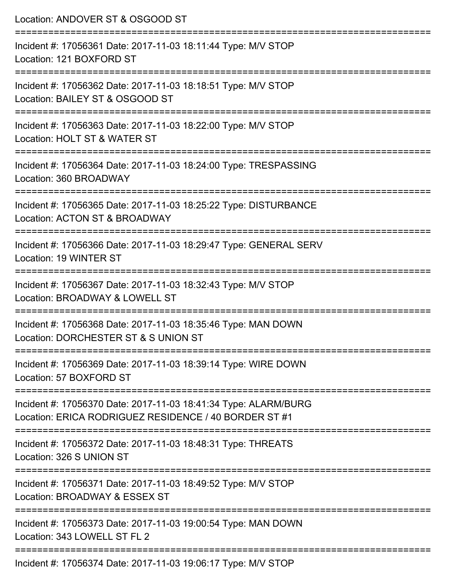| Location: ANDOVER ST & OSGOOD ST                                                                                                               |
|------------------------------------------------------------------------------------------------------------------------------------------------|
| Incident #: 17056361 Date: 2017-11-03 18:11:44 Type: M/V STOP<br>Location: 121 BOXFORD ST                                                      |
| Incident #: 17056362 Date: 2017-11-03 18:18:51 Type: M/V STOP<br>Location: BAILEY ST & OSGOOD ST                                               |
| Incident #: 17056363 Date: 2017-11-03 18:22:00 Type: M/V STOP<br>Location: HOLT ST & WATER ST                                                  |
| Incident #: 17056364 Date: 2017-11-03 18:24:00 Type: TRESPASSING<br>Location: 360 BROADWAY                                                     |
| Incident #: 17056365 Date: 2017-11-03 18:25:22 Type: DISTURBANCE<br>Location: ACTON ST & BROADWAY                                              |
| Incident #: 17056366 Date: 2017-11-03 18:29:47 Type: GENERAL SERV<br>Location: 19 WINTER ST                                                    |
| Incident #: 17056367 Date: 2017-11-03 18:32:43 Type: M/V STOP<br>Location: BROADWAY & LOWELL ST                                                |
| =====================================<br>Incident #: 17056368 Date: 2017-11-03 18:35:46 Type: MAN DOWN<br>Location: DORCHESTER ST & S UNION ST |
| ==============================<br>Incident #: 17056369 Date: 2017-11-03 18:39:14 Type: WIRE DOWN<br>Location: 57 BOXFORD ST                    |
| Incident #: 17056370 Date: 2017-11-03 18:41:34 Type: ALARM/BURG<br>Location: ERICA RODRIGUEZ RESIDENCE / 40 BORDER ST #1                       |
| Incident #: 17056372 Date: 2017-11-03 18:48:31 Type: THREATS<br>Location: 326 S UNION ST                                                       |
| Incident #: 17056371 Date: 2017-11-03 18:49:52 Type: M/V STOP<br>Location: BROADWAY & ESSEX ST                                                 |
| Incident #: 17056373 Date: 2017-11-03 19:00:54 Type: MAN DOWN<br>Location: 343 LOWELL ST FL 2                                                  |
| Incident #: 17056374 Date: 2017-11-03 19:06:17 Type: M/V STOP                                                                                  |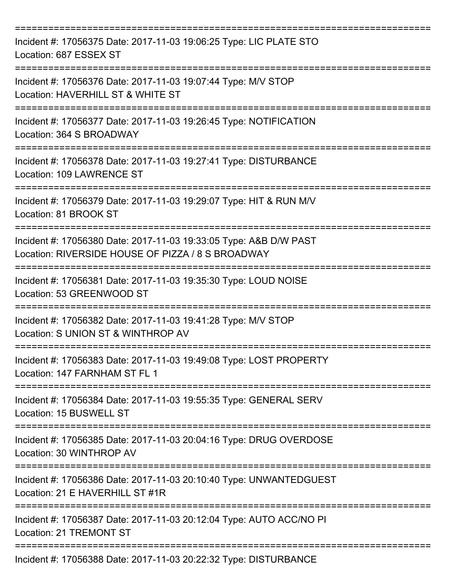| Incident #: 17056375 Date: 2017-11-03 19:06:25 Type: LIC PLATE STO<br>Location: 687 ESSEX ST                                         |
|--------------------------------------------------------------------------------------------------------------------------------------|
| Incident #: 17056376 Date: 2017-11-03 19:07:44 Type: M/V STOP<br>Location: HAVERHILL ST & WHITE ST                                   |
| Incident #: 17056377 Date: 2017-11-03 19:26:45 Type: NOTIFICATION<br>Location: 364 S BROADWAY<br>.---------------------------------- |
| Incident #: 17056378 Date: 2017-11-03 19:27:41 Type: DISTURBANCE<br>Location: 109 LAWRENCE ST                                        |
| Incident #: 17056379 Date: 2017-11-03 19:29:07 Type: HIT & RUN M/V<br>Location: 81 BROOK ST                                          |
| Incident #: 17056380 Date: 2017-11-03 19:33:05 Type: A&B D/W PAST<br>Location: RIVERSIDE HOUSE OF PIZZA / 8 S BROADWAY               |
| Incident #: 17056381 Date: 2017-11-03 19:35:30 Type: LOUD NOISE<br>Location: 53 GREENWOOD ST                                         |
| Incident #: 17056382 Date: 2017-11-03 19:41:28 Type: M/V STOP<br>Location: S UNION ST & WINTHROP AV                                  |
| Incident #: 17056383 Date: 2017-11-03 19:49:08 Type: LOST PROPERTY<br>Location: 147 FARNHAM ST FL 1                                  |
| Incident #: 17056384 Date: 2017-11-03 19:55:35 Type: GENERAL SERV<br>Location: 15 BUSWELL ST                                         |
| Incident #: 17056385 Date: 2017-11-03 20:04:16 Type: DRUG OVERDOSE<br>Location: 30 WINTHROP AV                                       |
| Incident #: 17056386 Date: 2017-11-03 20:10:40 Type: UNWANTEDGUEST<br>Location: 21 E HAVERHILL ST #1R                                |
| Incident #: 17056387 Date: 2017-11-03 20:12:04 Type: AUTO ACC/NO PI<br><b>Location: 21 TREMONT ST</b>                                |
| Incident #: 17056388 Date: 2017-11-03 20:22:32 Type: DISTURBANCE                                                                     |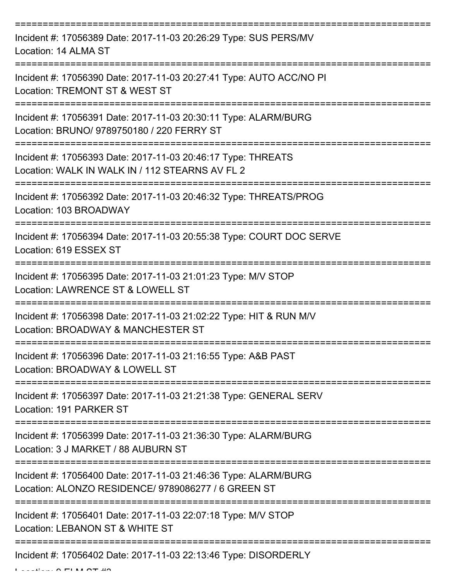| Incident #: 17056389 Date: 2017-11-03 20:26:29 Type: SUS PERS/MV<br>Location: 14 ALMA ST                               |
|------------------------------------------------------------------------------------------------------------------------|
| Incident #: 17056390 Date: 2017-11-03 20:27:41 Type: AUTO ACC/NO PI<br>Location: TREMONT ST & WEST ST                  |
| Incident #: 17056391 Date: 2017-11-03 20:30:11 Type: ALARM/BURG<br>Location: BRUNO/ 9789750180 / 220 FERRY ST          |
| Incident #: 17056393 Date: 2017-11-03 20:46:17 Type: THREATS<br>Location: WALK IN WALK IN / 112 STEARNS AV FL 2        |
| Incident #: 17056392 Date: 2017-11-03 20:46:32 Type: THREATS/PROG<br>Location: 103 BROADWAY                            |
| Incident #: 17056394 Date: 2017-11-03 20:55:38 Type: COURT DOC SERVE<br>Location: 619 ESSEX ST                         |
| Incident #: 17056395 Date: 2017-11-03 21:01:23 Type: M/V STOP<br>Location: LAWRENCE ST & LOWELL ST                     |
| Incident #: 17056398 Date: 2017-11-03 21:02:22 Type: HIT & RUN M/V<br>Location: BROADWAY & MANCHESTER ST               |
| Incident #: 17056396 Date: 2017-11-03 21:16:55 Type: A&B PAST<br>Location: BROADWAY & LOWELL ST                        |
| Incident #: 17056397 Date: 2017-11-03 21:21:38 Type: GENERAL SERV<br>Location: 191 PARKER ST                           |
| Incident #: 17056399 Date: 2017-11-03 21:36:30 Type: ALARM/BURG<br>Location: 3 J MARKET / 88 AUBURN ST                 |
| Incident #: 17056400 Date: 2017-11-03 21:46:36 Type: ALARM/BURG<br>Location: ALONZO RESIDENCE/ 9789086277 / 6 GREEN ST |
| Incident #: 17056401 Date: 2017-11-03 22:07:18 Type: M/V STOP<br>Location: LEBANON ST & WHITE ST                       |
| Incident #: 17056402 Date: 2017-11-03 22:13:46 Type: DISORDERLY                                                        |